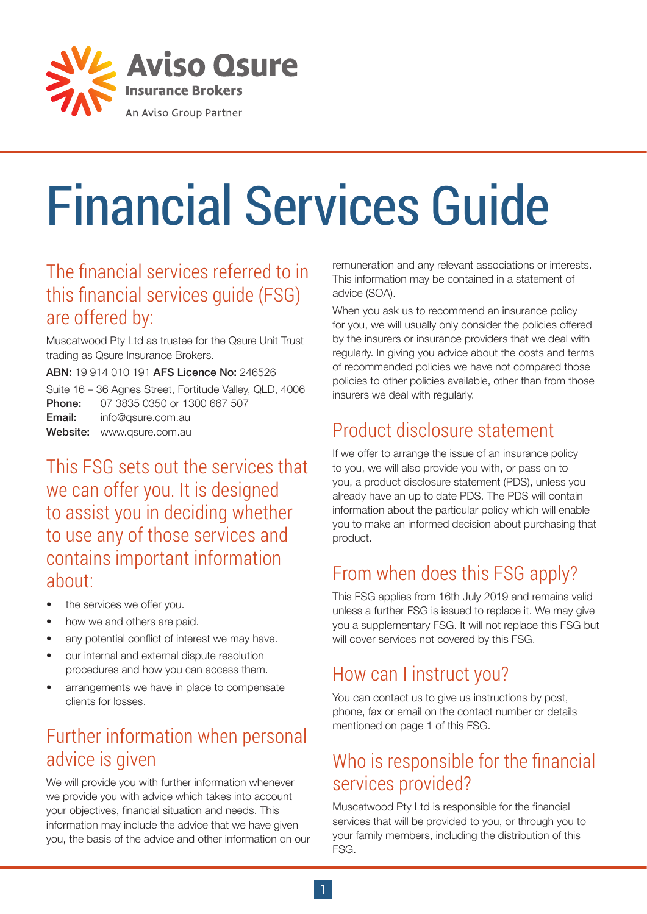

# Financial Services Guide

#### The financial services referred to in this financial services guide (FSG) are offered by:

Muscatwood Pty Ltd as trustee for the Qsure Unit Trust trading as Qsure Insurance Brokers.

ABN: 19 914 010 191 AFS Licence No: 246526

|        | Suite 16 - 36 Agnes Street, Fortitude Valley, QLD, 4006 |
|--------|---------------------------------------------------------|
|        | <b>Phone:</b> 07 3835 0350 or 1300 667 507              |
| Email: | info@gsure.com.au                                       |
|        | <b>Website:</b> www.gsure.com.au                        |

This FSG sets out the services that we can offer you. It is designed to assist you in deciding whether to use any of those services and contains important information about:

- the services we offer you.
- how we and others are paid.
- any potential conflict of interest we may have.
- our internal and external dispute resolution procedures and how you can access them.
- arrangements we have in place to compensate clients for losses.

# Further information when personal advice is given

We will provide you with further information whenever we provide you with advice which takes into account your objectives, financial situation and needs. This information may include the advice that we have given you, the basis of the advice and other information on our remuneration and any relevant associations or interests. This information may be contained in a statement of advice (SOA).

When you ask us to recommend an insurance policy for you, we will usually only consider the policies offered by the insurers or insurance providers that we deal with regularly. In giving you advice about the costs and terms of recommended policies we have not compared those policies to other policies available, other than from those insurers we deal with regularly.

# Product disclosure statement

If we offer to arrange the issue of an insurance policy to you, we will also provide you with, or pass on to you, a product disclosure statement (PDS), unless you already have an up to date PDS. The PDS will contain information about the particular policy which will enable you to make an informed decision about purchasing that product.

# From when does this FSG apply?

This FSG applies from 16th July 2019 and remains valid unless a further FSG is issued to replace it. We may give you a supplementary FSG. It will not replace this FSG but will cover services not covered by this FSG.

### How can I instruct you?

You can contact us to give us instructions by post, phone, fax or email on the contact number or details mentioned on page 1 of this FSG.

# Who is responsible for the financial services provided?

Muscatwood Pty Ltd is responsible for the financial services that will be provided to you, or through you to your family members, including the distribution of this FSG.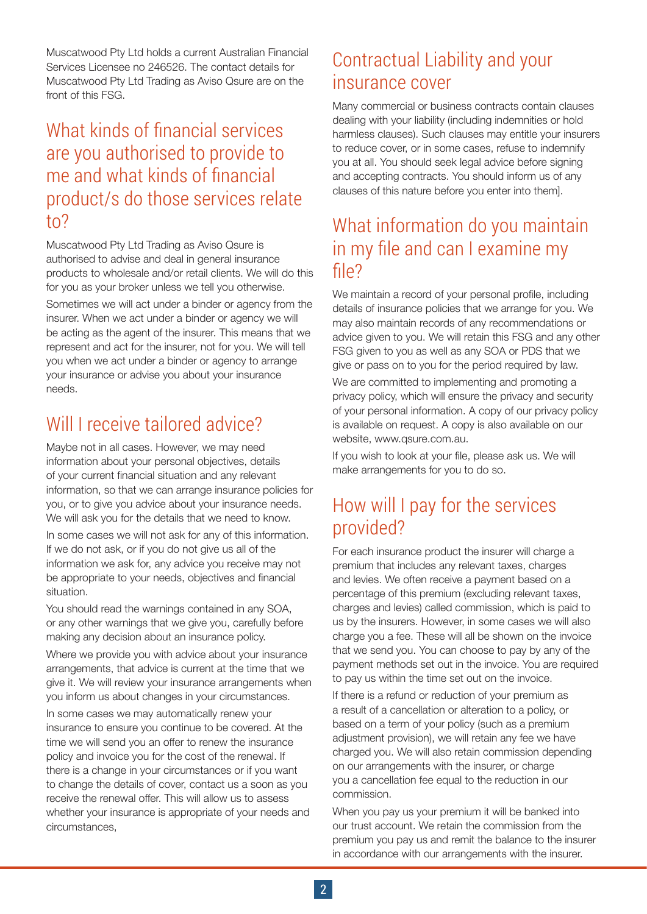Muscatwood Pty Ltd holds a current Australian Financial Services Licensee no 246526. The contact details for Muscatwood Pty Ltd Trading as Aviso Qsure are on the front of this FSG.

#### What kinds of financial services are you authorised to provide to me and what kinds of financial product/s do those services relate to?

Muscatwood Pty Ltd Trading as Aviso Qsure is authorised to advise and deal in general insurance products to wholesale and/or retail clients. We will do this for you as your broker unless we tell you otherwise. Sometimes we will act under a binder or agency from the insurer. When we act under a binder or agency we will be acting as the agent of the insurer. This means that we represent and act for the insurer, not for you. We will tell you when we act under a binder or agency to arrange your insurance or advise you about your insurance needs.

# Will I receive tailored advice?

Maybe not in all cases. However, we may need information about your personal objectives, details of your current financial situation and any relevant information, so that we can arrange insurance policies for you, or to give you advice about your insurance needs. We will ask you for the details that we need to know.

In some cases we will not ask for any of this information. If we do not ask, or if you do not give us all of the information we ask for, any advice you receive may not be appropriate to your needs, objectives and financial situation.

You should read the warnings contained in any SOA, or any other warnings that we give you, carefully before making any decision about an insurance policy.

Where we provide you with advice about your insurance arrangements, that advice is current at the time that we give it. We will review your insurance arrangements when you inform us about changes in your circumstances.

In some cases we may automatically renew your insurance to ensure you continue to be covered. At the time we will send you an offer to renew the insurance policy and invoice you for the cost of the renewal. If there is a change in your circumstances or if you want to change the details of cover, contact us a soon as you receive the renewal offer. This will allow us to assess whether your insurance is appropriate of your needs and circumstances,

#### Contractual Liability and your insurance cover

Many commercial or business contracts contain clauses dealing with your liability (including indemnities or hold harmless clauses). Such clauses may entitle your insurers to reduce cover, or in some cases, refuse to indemnify you at all. You should seek legal advice before signing and accepting contracts. You should inform us of any clauses of this nature before you enter into them].

#### What information do you maintain in my file and can I examine my file?

We maintain a record of your personal profile, including details of insurance policies that we arrange for you. We may also maintain records of any recommendations or advice given to you. We will retain this FSG and any other FSG given to you as well as any SOA or PDS that we give or pass on to you for the period required by law.

We are committed to implementing and promoting a privacy policy, which will ensure the privacy and security of your personal information. A copy of our privacy policy is available on request. A copy is also available on our website, www.qsure.com.au.

If you wish to look at your file, please ask us. We will make arrangements for you to do so.

#### How will I pay for the services provided?

For each insurance product the insurer will charge a premium that includes any relevant taxes, charges and levies. We often receive a payment based on a percentage of this premium (excluding relevant taxes, charges and levies) called commission, which is paid to us by the insurers. However, in some cases we will also charge you a fee. These will all be shown on the invoice that we send you. You can choose to pay by any of the payment methods set out in the invoice. You are required to pay us within the time set out on the invoice.

If there is a refund or reduction of your premium as a result of a cancellation or alteration to a policy, or based on a term of your policy (such as a premium adjustment provision), we will retain any fee we have charged you. We will also retain commission depending on our arrangements with the insurer, or charge you a cancellation fee equal to the reduction in our commission.

When you pay us your premium it will be banked into our trust account. We retain the commission from the premium you pay us and remit the balance to the insurer in accordance with our arrangements with the insurer.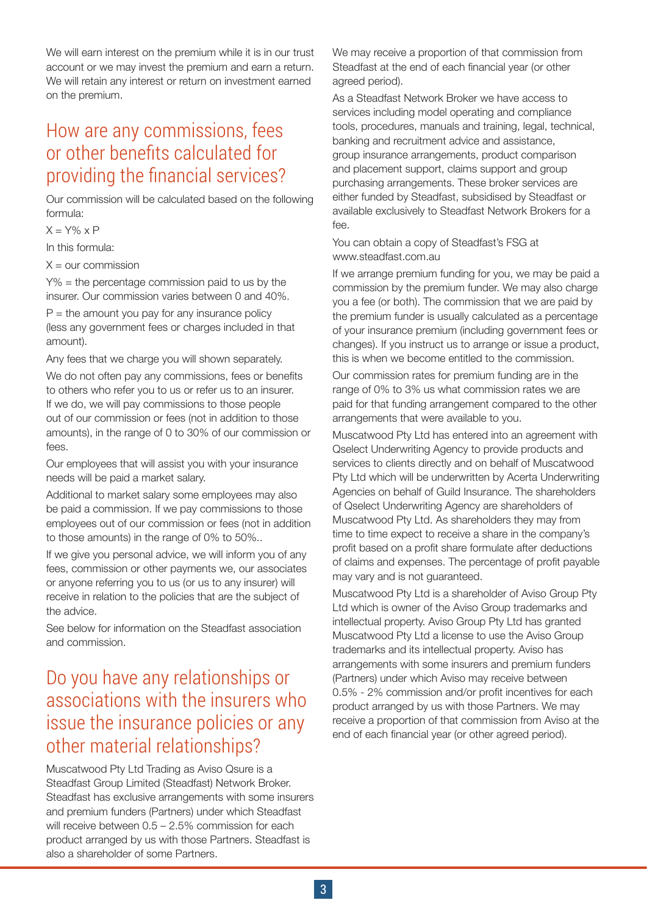We will earn interest on the premium while it is in our trust account or we may invest the premium and earn a return. We will retain any interest or return on investment earned on the premium.

#### How are any commissions, fees or other benefits calculated for providing the financial services?

Our commission will be calculated based on the following formula:

 $X = Y\% \times P$ 

In this formula:

 $X =$  our commission

Y% = the percentage commission paid to us by the insurer. Our commission varies between 0 and 40%.

 $P =$  the amount you pay for any insurance policy (less any government fees or charges included in that amount).

Any fees that we charge you will shown separately.

We do not often pay any commissions, fees or benefits to others who refer you to us or refer us to an insurer. If we do, we will pay commissions to those people out of our commission or fees (not in addition to those amounts), in the range of 0 to 30% of our commission or fees.

Our employees that will assist you with your insurance needs will be paid a market salary.

Additional to market salary some employees may also be paid a commission. If we pay commissions to those employees out of our commission or fees (not in addition to those amounts) in the range of 0% to 50%..

If we give you personal advice, we will inform you of any fees, commission or other payments we, our associates or anyone referring you to us (or us to any insurer) will receive in relation to the policies that are the subject of the advice.

See below for information on the Steadfast association and commission.

### Do you have any relationships or associations with the insurers who issue the insurance policies or any other material relationships?

Muscatwood Pty Ltd Trading as Aviso Qsure is a Steadfast Group Limited (Steadfast) Network Broker. Steadfast has exclusive arrangements with some insurers and premium funders (Partners) under which Steadfast will receive between  $0.5 - 2.5\%$  commission for each product arranged by us with those Partners. Steadfast is also a shareholder of some Partners.

We may receive a proportion of that commission from Steadfast at the end of each financial year (or other agreed period).

As a Steadfast Network Broker we have access to services including model operating and compliance tools, procedures, manuals and training, legal, technical, banking and recruitment advice and assistance, group insurance arrangements, product comparison and placement support, claims support and group purchasing arrangements. These broker services are either funded by Steadfast, subsidised by Steadfast or available exclusively to Steadfast Network Brokers for a fee.

#### You can obtain a copy of Steadfast's FSG at www.steadfast.com.au

If we arrange premium funding for you, we may be paid a commission by the premium funder. We may also charge you a fee (or both). The commission that we are paid by the premium funder is usually calculated as a percentage of your insurance premium (including government fees or changes). If you instruct us to arrange or issue a product, this is when we become entitled to the commission.

Our commission rates for premium funding are in the range of 0% to 3% us what commission rates we are paid for that funding arrangement compared to the other arrangements that were available to you.

Muscatwood Pty Ltd has entered into an agreement with Qselect Underwriting Agency to provide products and services to clients directly and on behalf of Muscatwood Pty Ltd which will be underwritten by Acerta Underwriting Agencies on behalf of Guild Insurance. The shareholders of Qselect Underwriting Agency are shareholders of Muscatwood Pty Ltd. As shareholders they may from time to time expect to receive a share in the company's profit based on a profit share formulate after deductions of claims and expenses. The percentage of profit payable may vary and is not guaranteed.

Muscatwood Pty Ltd is a shareholder of Aviso Group Pty Ltd which is owner of the Aviso Group trademarks and intellectual property. Aviso Group Pty Ltd has granted Muscatwood Pty Ltd a license to use the Aviso Group trademarks and its intellectual property. Aviso has arrangements with some insurers and premium funders (Partners) under which Aviso may receive between 0.5% - 2% commission and/or profit incentives for each product arranged by us with those Partners. We may receive a proportion of that commission from Aviso at the end of each financial year (or other agreed period).